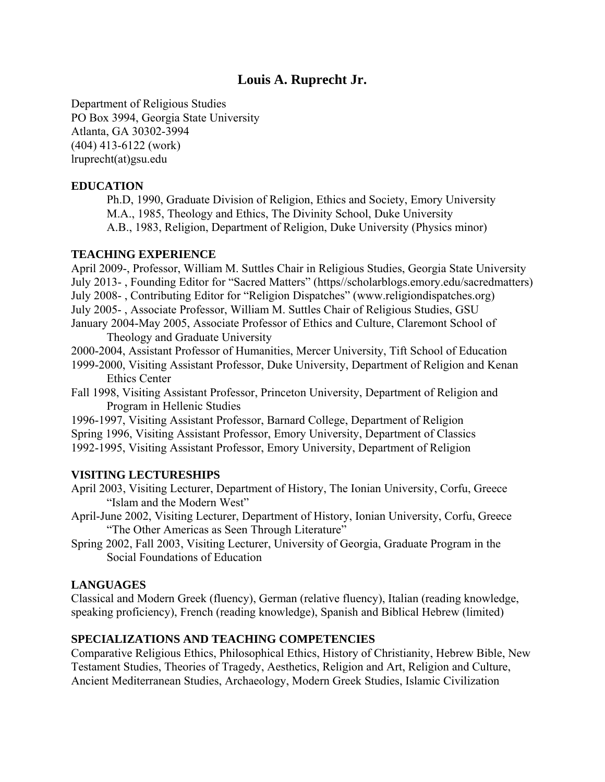# **Louis A. Ruprecht Jr.**

Department of Religious Studies PO Box 3994, Georgia State University Atlanta, GA 30302-3994 (404) 413-6122 (work) lruprecht(at)gsu.edu

### **EDUCATION**

Ph.D, 1990, Graduate Division of Religion, Ethics and Society, Emory University M.A., 1985, Theology and Ethics, The Divinity School, Duke University A.B., 1983, Religion, Department of Religion, Duke University (Physics minor)

#### **TEACHING EXPERIENCE**

April 2009-, Professor, William M. Suttles Chair in Religious Studies, Georgia State University July 2013- , Founding Editor for "Sacred Matters" (https//scholarblogs.emory.edu/sacredmatters) July 2008- , Contributing Editor for "Religion Dispatches" (www.religiondispatches.org) July 2005- , Associate Professor, William M. Suttles Chair of Religious Studies, GSU January 2004-May 2005, Associate Professor of Ethics and Culture, Claremont School of Theology and Graduate University 2000-2004, Assistant Professor of Humanities, Mercer University, Tift School of Education

1999-2000, Visiting Assistant Professor, Duke University, Department of Religion and Kenan Ethics Center

Fall 1998, Visiting Assistant Professor, Princeton University, Department of Religion and Program in Hellenic Studies

1996-1997, Visiting Assistant Professor, Barnard College, Department of Religion Spring 1996, Visiting Assistant Professor, Emory University, Department of Classics 1992-1995, Visiting Assistant Professor, Emory University, Department of Religion

#### **VISITING LECTURESHIPS**

April 2003, Visiting Lecturer, Department of History, The Ionian University, Corfu, Greece "Islam and the Modern West"

April-June 2002, Visiting Lecturer, Department of History, Ionian University, Corfu, Greece "The Other Americas as Seen Through Literature"

Spring 2002, Fall 2003, Visiting Lecturer, University of Georgia, Graduate Program in the Social Foundations of Education

#### **LANGUAGES**

Classical and Modern Greek (fluency), German (relative fluency), Italian (reading knowledge, speaking proficiency), French (reading knowledge), Spanish and Biblical Hebrew (limited)

#### **SPECIALIZATIONS AND TEACHING COMPETENCIES**

Comparative Religious Ethics, Philosophical Ethics, History of Christianity, Hebrew Bible, New Testament Studies, Theories of Tragedy, Aesthetics, Religion and Art, Religion and Culture, Ancient Mediterranean Studies, Archaeology, Modern Greek Studies, Islamic Civilization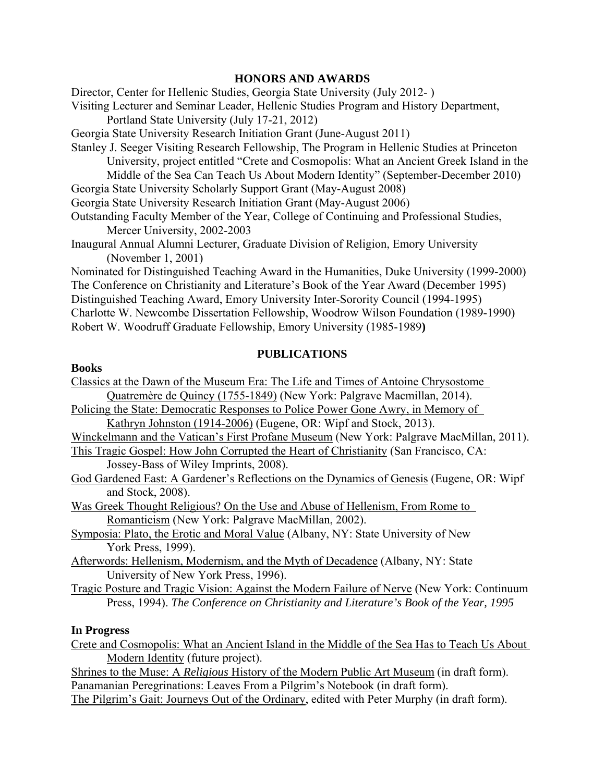### **HONORS AND AWARDS**

Director, Center for Hellenic Studies, Georgia State University (July 2012- )

Visiting Lecturer and Seminar Leader, Hellenic Studies Program and History Department,

Portland State University (July 17-21, 2012)

Georgia State University Research Initiation Grant (June-August 2011)

Stanley J. Seeger Visiting Research Fellowship, The Program in Hellenic Studies at Princeton University, project entitled "Crete and Cosmopolis: What an Ancient Greek Island in the

Middle of the Sea Can Teach Us About Modern Identity" (September-December 2010)

Georgia State University Scholarly Support Grant (May-August 2008)

Georgia State University Research Initiation Grant (May-August 2006)

Outstanding Faculty Member of the Year, College of Continuing and Professional Studies, Mercer University, 2002-2003

Inaugural Annual Alumni Lecturer, Graduate Division of Religion, Emory University (November 1, 2001)

Nominated for Distinguished Teaching Award in the Humanities, Duke University (1999-2000) The Conference on Christianity and Literature's Book of the Year Award (December 1995) Distinguished Teaching Award, Emory University Inter-Sorority Council (1994-1995) Charlotte W. Newcombe Dissertation Fellowship, Woodrow Wilson Foundation (1989-1990) Robert W. Woodruff Graduate Fellowship, Emory University (1985-1989**)** 

### **PUBLICATIONS**

#### **Books**

| Classics at the Dawn of the Museum Era: The Life and Times of Antoine Chrysostome          |
|--------------------------------------------------------------------------------------------|
| Quatremère de Quincy (1755-1849) (New York: Palgrave Macmillan, 2014).                     |
| Policing the State: Democratic Responses to Police Power Gone Awry, in Memory of           |
| Kathryn Johnston (1914-2006) (Eugene, OR: Wipf and Stock, 2013).                           |
| Winckelmann and the Vatican's First Profane Museum (New York: Palgrave MacMillan, 2011).   |
| This Tragic Gospel: How John Corrupted the Heart of Christianity (San Francisco, CA:       |
| Jossey-Bass of Wiley Imprints, 2008).                                                      |
| God Gardened East: A Gardener's Reflections on the Dynamics of Genesis (Eugene, OR: Wipf   |
| and Stock, 2008).                                                                          |
| Was Greek Thought Religious? On the Use and Abuse of Hellenism, From Rome to               |
| Romanticism (New York: Palgrave MacMillan, 2002).                                          |
| Symposia: Plato, the Erotic and Moral Value (Albany, NY: State University of New           |
| York Press, 1999).                                                                         |
| Afterwords: Hellenism, Modernism, and the Myth of Decadence (Albany, NY: State             |
| University of New York Press, 1996).                                                       |
| Tragic Posture and Tragic Vision: Against the Modern Failure of Nerve (New York: Continuum |
| Press, 1994). The Conference on Christianity and Literature's Book of the Year, 1995       |
|                                                                                            |
|                                                                                            |

### **In Progress**

Crete and Cosmopolis: What an Ancient Island in the Middle of the Sea Has to Teach Us About Modern Identity (future project).

Shrines to the Muse: A *Religious* History of the Modern Public Art Museum (in draft form). Panamanian Peregrinations: Leaves From a Pilgrim's Notebook (in draft form).

The Pilgrim's Gait: Journeys Out of the Ordinary, edited with Peter Murphy (in draft form).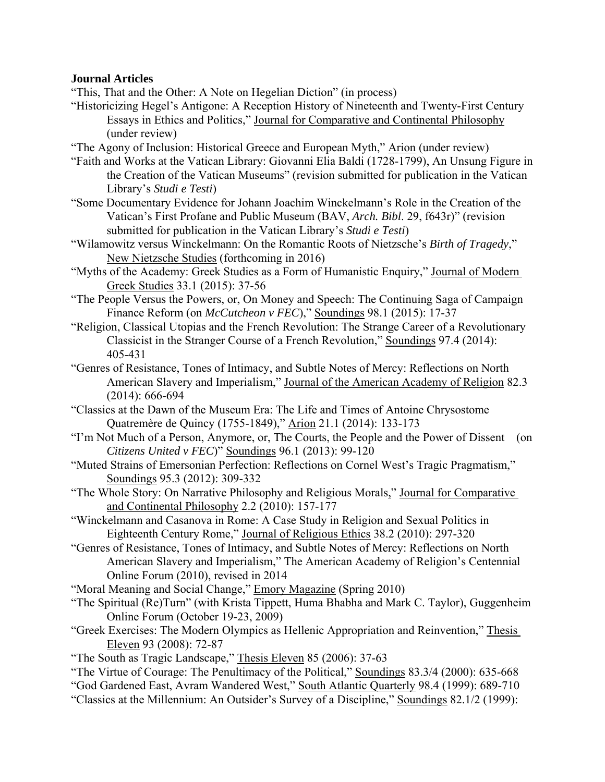## **Journal Articles**

"This, That and the Other: A Note on Hegelian Diction" (in process)

- "Historicizing Hegel's Antigone: A Reception History of Nineteenth and Twenty-First Century Essays in Ethics and Politics," Journal for Comparative and Continental Philosophy (under review)
- "The Agony of Inclusion: Historical Greece and European Myth," Arion (under review)
- "Faith and Works at the Vatican Library: Giovanni Elia Baldi (1728-1799), An Unsung Figure in the Creation of the Vatican Museums" (revision submitted for publication in the Vatican Library's *Studi e Testi*)
- "Some Documentary Evidence for Johann Joachim Winckelmann's Role in the Creation of the Vatican's First Profane and Public Museum (BAV, *Arch. Bibl*. 29, f643r)" (revision submitted for publication in the Vatican Library's *Studi e Testi*)
- "Wilamowitz versus Winckelmann: On the Romantic Roots of Nietzsche's *Birth of Tragedy*," New Nietzsche Studies (forthcoming in 2016)
- "Myths of the Academy: Greek Studies as a Form of Humanistic Enquiry," Journal of Modern Greek Studies 33.1 (2015): 37-56
- "The People Versus the Powers, or, On Money and Speech: The Continuing Saga of Campaign Finance Reform (on *McCutcheon v FEC*)," Soundings 98.1 (2015): 17-37
- "Religion, Classical Utopias and the French Revolution: The Strange Career of a Revolutionary Classicist in the Stranger Course of a French Revolution," Soundings 97.4 (2014): 405-431
- "Genres of Resistance, Tones of Intimacy, and Subtle Notes of Mercy: Reflections on North American Slavery and Imperialism," Journal of the American Academy of Religion 82.3 (2014): 666-694
- "Classics at the Dawn of the Museum Era: The Life and Times of Antoine Chrysostome Quatremère de Quincy (1755-1849)," Arion 21.1 (2014): 133-173
- "I'm Not Much of a Person, Anymore, or, The Courts, the People and the Power of Dissent (on  *Citizens United v FEC*)" Soundings 96.1 (2013): 99-120
- "Muted Strains of Emersonian Perfection: Reflections on Cornel West's Tragic Pragmatism," Soundings 95.3 (2012): 309-332
- "The Whole Story: On Narrative Philosophy and Religious Morals," Journal for Comparative and Continental Philosophy 2.2 (2010): 157-177
- "Winckelmann and Casanova in Rome: A Case Study in Religion and Sexual Politics in Eighteenth Century Rome," Journal of Religious Ethics 38.2 (2010): 297-320
- "Genres of Resistance, Tones of Intimacy, and Subtle Notes of Mercy: Reflections on North American Slavery and Imperialism," The American Academy of Religion's Centennial Online Forum (2010), revised in 2014
- "Moral Meaning and Social Change," Emory Magazine (Spring 2010)
- "The Spiritual (Re)Turn" (with Krista Tippett, Huma Bhabha and Mark C. Taylor), Guggenheim Online Forum (October 19-23, 2009)
- "Greek Exercises: The Modern Olympics as Hellenic Appropriation and Reinvention," Thesis Eleven 93 (2008): 72-87
- "The South as Tragic Landscape," Thesis Eleven 85 (2006): 37-63
- "The Virtue of Courage: The Penultimacy of the Political," Soundings 83.3/4 (2000): 635-668
- "God Gardened East, Avram Wandered West," South Atlantic Quarterly 98.4 (1999): 689-710
- "Classics at the Millennium: An Outsider's Survey of a Discipline," Soundings 82.1/2 (1999):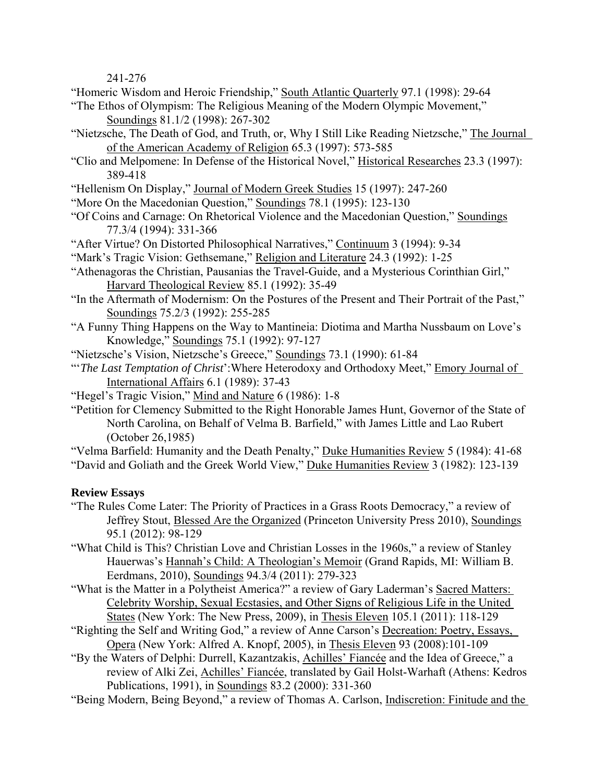241-276

"Homeric Wisdom and Heroic Friendship," South Atlantic Quarterly 97.1 (1998): 29-64

"The Ethos of Olympism: The Religious Meaning of the Modern Olympic Movement," Soundings 81.1/2 (1998): 267-302

- "Nietzsche, The Death of God, and Truth, or, Why I Still Like Reading Nietzsche," The Journal of the American Academy of Religion 65.3 (1997): 573-585
- "Clio and Melpomene: In Defense of the Historical Novel," Historical Researches 23.3 (1997): 389-418
- "Hellenism On Display," Journal of Modern Greek Studies 15 (1997): 247-260
- "More On the Macedonian Question," Soundings 78.1 (1995): 123-130
- "Of Coins and Carnage: On Rhetorical Violence and the Macedonian Question," Soundings 77.3/4 (1994): 331-366
- "After Virtue? On Distorted Philosophical Narratives," Continuum 3 (1994): 9-34
- "Mark's Tragic Vision: Gethsemane," Religion and Literature 24.3 (1992): 1-25
- "Athenagoras the Christian, Pausanias the Travel-Guide, and a Mysterious Corinthian Girl," Harvard Theological Review 85.1 (1992): 35-49
- "In the Aftermath of Modernism: On the Postures of the Present and Their Portrait of the Past," Soundings 75.2/3 (1992): 255-285
- "A Funny Thing Happens on the Way to Mantineia: Diotima and Martha Nussbaum on Love's Knowledge," Soundings 75.1 (1992): 97-127
- "Nietzsche's Vision, Nietzsche's Greece," Soundings 73.1 (1990): 61-84
- "'*The Last Temptation of Christ*':Where Heterodoxy and Orthodoxy Meet," Emory Journal of International Affairs 6.1 (1989): 37-43
- "Hegel's Tragic Vision," Mind and Nature 6 (1986): 1-8
- "Petition for Clemency Submitted to the Right Honorable James Hunt, Governor of the State of North Carolina, on Behalf of Velma B. Barfield," with James Little and Lao Rubert (October 26,1985)

"Velma Barfield: Humanity and the Death Penalty," Duke Humanities Review 5 (1984): 41-68 "David and Goliath and the Greek World View," Duke Humanities Review 3 (1982): 123-139

# **Review Essays**

- "The Rules Come Later: The Priority of Practices in a Grass Roots Democracy," a review of Jeffrey Stout, Blessed Are the Organized (Princeton University Press 2010), Soundings 95.1 (2012): 98-129
- "What Child is This? Christian Love and Christian Losses in the 1960s," a review of Stanley Hauerwas's Hannah's Child: A Theologian's Memoir (Grand Rapids, MI: William B. Eerdmans, 2010), Soundings 94.3/4 (2011): 279-323
- "What is the Matter in a Polytheist America?" a review of Gary Laderman's Sacred Matters: Celebrity Worship, Sexual Ecstasies, and Other Signs of Religious Life in the United States (New York: The New Press, 2009), in Thesis Eleven 105.1 (2011): 118-129
- "Righting the Self and Writing God," a review of Anne Carson's Decreation: Poetry, Essays, Opera (New York: Alfred A. Knopf, 2005), in Thesis Eleven 93 (2008):101-109
- "By the Waters of Delphi: Durrell, Kazantzakis, Achilles' Fiancée and the Idea of Greece," a review of Alki Zei, Achilles' Fiancée, translated by Gail Holst-Warhaft (Athens: Kedros Publications, 1991), in Soundings 83.2 (2000): 331-360
- "Being Modern, Being Beyond," a review of Thomas A. Carlson, Indiscretion: Finitude and the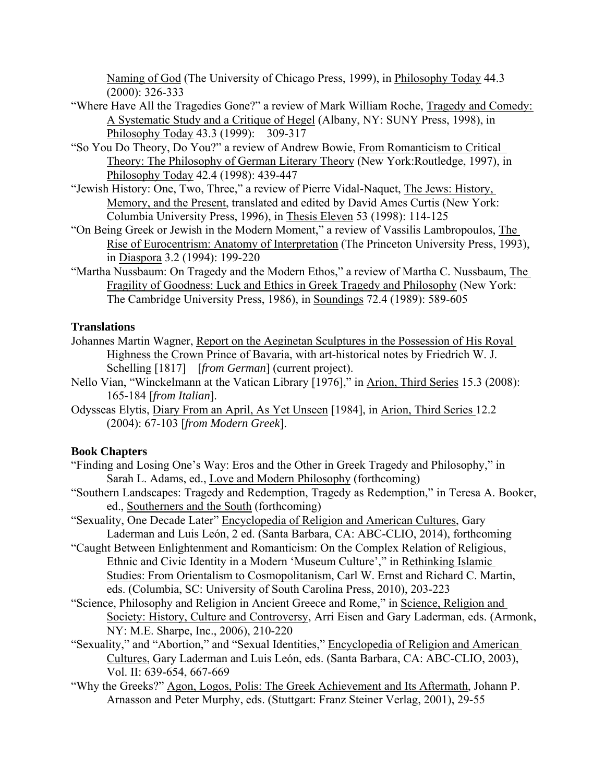Naming of God (The University of Chicago Press, 1999), in Philosophy Today 44.3 (2000): 326-333

- "Where Have All the Tragedies Gone?" a review of Mark William Roche, Tragedy and Comedy: A Systematic Study and a Critique of Hegel (Albany, NY: SUNY Press, 1998), in Philosophy Today 43.3 (1999): 309-317
- "So You Do Theory, Do You?" a review of Andrew Bowie, From Romanticism to Critical Theory: The Philosophy of German Literary Theory (New York:Routledge, 1997), in Philosophy Today 42.4 (1998): 439-447
- "Jewish History: One, Two, Three," a review of Pierre Vidal-Naquet, The Jews: History, Memory, and the Present, translated and edited by David Ames Curtis (New York: Columbia University Press, 1996), in Thesis Eleven 53 (1998): 114-125
- "On Being Greek or Jewish in the Modern Moment," a review of Vassilis Lambropoulos, The Rise of Eurocentrism: Anatomy of Interpretation (The Princeton University Press, 1993), in Diaspora 3.2 (1994): 199-220
- "Martha Nussbaum: On Tragedy and the Modern Ethos," a review of Martha C. Nussbaum, The Fragility of Goodness: Luck and Ethics in Greek Tragedy and Philosophy (New York: The Cambridge University Press, 1986), in Soundings 72.4 (1989): 589-605

# **Translations**

- Johannes Martin Wagner, Report on the Aeginetan Sculptures in the Possession of His Royal Highness the Crown Prince of Bavaria, with art-historical notes by Friedrich W. J. Schelling [1817] [*from German*] (current project).
- Nello Vian, "Winckelmann at the Vatican Library [1976]," in Arion, Third Series 15.3 (2008): 165-184 [*from Italian*].
- Odysseas Elytis, Diary From an April, As Yet Unseen [1984], in Arion, Third Series 12.2 (2004): 67-103 [*from Modern Greek*].

# **Book Chapters**

- "Finding and Losing One's Way: Eros and the Other in Greek Tragedy and Philosophy," in Sarah L. Adams, ed., Love and Modern Philosophy (forthcoming)
- "Southern Landscapes: Tragedy and Redemption, Tragedy as Redemption," in Teresa A. Booker, ed., Southerners and the South (forthcoming)
- "Sexuality, One Decade Later" Encyclopedia of Religion and American Cultures, Gary Laderman and Luis León, 2 ed. (Santa Barbara, CA: ABC-CLIO, 2014), forthcoming
- "Caught Between Enlightenment and Romanticism: On the Complex Relation of Religious, Ethnic and Civic Identity in a Modern 'Museum Culture'," in Rethinking Islamic Studies: From Orientalism to Cosmopolitanism, Carl W. Ernst and Richard C. Martin, eds. (Columbia, SC: University of South Carolina Press, 2010), 203-223
- "Science, Philosophy and Religion in Ancient Greece and Rome," in Science, Religion and Society: History, Culture and Controversy, Arri Eisen and Gary Laderman, eds. (Armonk, NY: M.E. Sharpe, Inc., 2006), 210-220
- "Sexuality," and "Abortion," and "Sexual Identities," Encyclopedia of Religion and American Cultures, Gary Laderman and Luis León, eds. (Santa Barbara, CA: ABC-CLIO, 2003), Vol. II: 639-654, 667-669
- "Why the Greeks?" Agon, Logos, Polis: The Greek Achievement and Its Aftermath, Johann P. Arnasson and Peter Murphy, eds. (Stuttgart: Franz Steiner Verlag, 2001), 29-55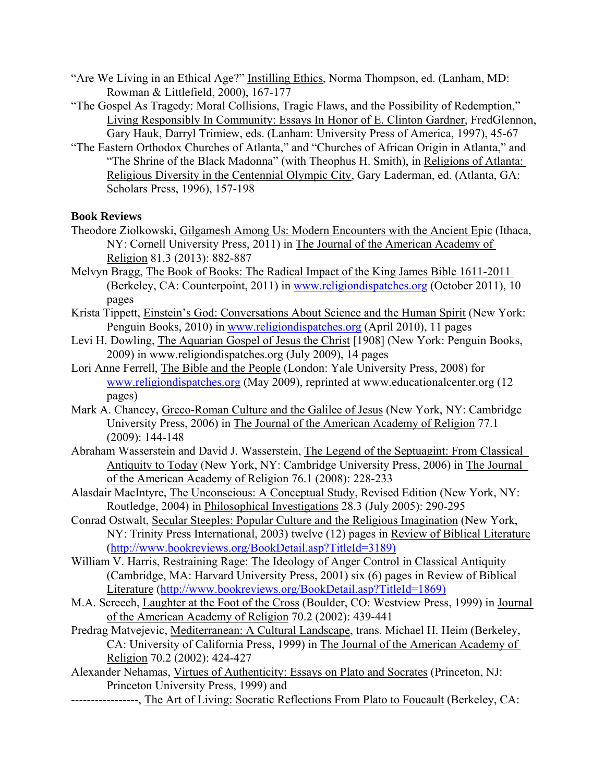- "Are We Living in an Ethical Age?" Instilling Ethics, Norma Thompson, ed. (Lanham, MD: Rowman & Littlefield, 2000), 167-177
- "The Gospel As Tragedy: Moral Collisions, Tragic Flaws, and the Possibility of Redemption," Living Responsibly In Community: Essays In Honor of E. Clinton Gardner, FredGlennon, Gary Hauk, Darryl Trimiew, eds. (Lanham: University Press of America, 1997), 45-67
- "The Eastern Orthodox Churches of Atlanta," and "Churches of African Origin in Atlanta," and "The Shrine of the Black Madonna" (with Theophus H. Smith), in Religions of Atlanta: Religious Diversity in the Centennial Olympic City, Gary Laderman, ed. (Atlanta, GA: Scholars Press, 1996), 157-198

### **Book Reviews**

- Theodore Ziolkowski, Gilgamesh Among Us: Modern Encounters with the Ancient Epic (Ithaca, NY: Cornell University Press, 2011) in The Journal of the American Academy of Religion 81.3 (2013): 882-887
- Melvyn Bragg, The Book of Books: The Radical Impact of the King James Bible 1611-2011 (Berkeley, CA: Counterpoint, 2011) in www.religiondispatches.org (October 2011), 10 pages
- Krista Tippett, Einstein's God: Conversations About Science and the Human Spirit (New York: Penguin Books, 2010) in www.religiondispatches.org (April 2010), 11 pages
- Levi H. Dowling, The Aquarian Gospel of Jesus the Christ [1908] (New York: Penguin Books, 2009) in www.religiondispatches.org (July 2009), 14 pages
- Lori Anne Ferrell, The Bible and the People (London: Yale University Press, 2008) for www.religiondispatches.org (May 2009), reprinted at www.educationalcenter.org (12 pages)
- Mark A. Chancey, Greco-Roman Culture and the Galilee of Jesus (New York, NY: Cambridge University Press, 2006) in The Journal of the American Academy of Religion 77.1 (2009): 144-148
- Abraham Wasserstein and David J. Wasserstein, The Legend of the Septuagint: From Classical Antiquity to Today (New York, NY: Cambridge University Press, 2006) in The Journal of the American Academy of Religion 76.1 (2008): 228-233
- Alasdair MacIntyre, The Unconscious: A Conceptual Study, Revised Edition (New York, NY: Routledge, 2004) in Philosophical Investigations 28.3 (July 2005): 290-295
- Conrad Ostwalt, Secular Steeples: Popular Culture and the Religious Imagination (New York, NY: Trinity Press International, 2003) twelve (12) pages in Review of Biblical Literature (http://www.bookreviews.org/BookDetail.asp?TitleId=3189)
- William V. Harris, Restraining Rage: The Ideology of Anger Control in Classical Antiquity (Cambridge, MA: Harvard University Press, 2001) six (6) pages in Review of Biblical Literature (http://www.bookreviews.org/BookDetail.asp?TitleId=1869)
- M.A. Screech, Laughter at the Foot of the Cross (Boulder, CO: Westview Press, 1999) in Journal of the American Academy of Religion 70.2 (2002): 439-441
- Predrag Matvejevic, Mediterranean: A Cultural Landscape, trans. Michael H. Heim (Berkeley, CA: University of California Press, 1999) in The Journal of the American Academy of Religion 70.2 (2002): 424-427
- Alexander Nehamas, Virtues of Authenticity: Essays on Plato and Socrates (Princeton, NJ: Princeton University Press, 1999) and
- -----------------, The Art of Living: Socratic Reflections From Plato to Foucault (Berkeley, CA: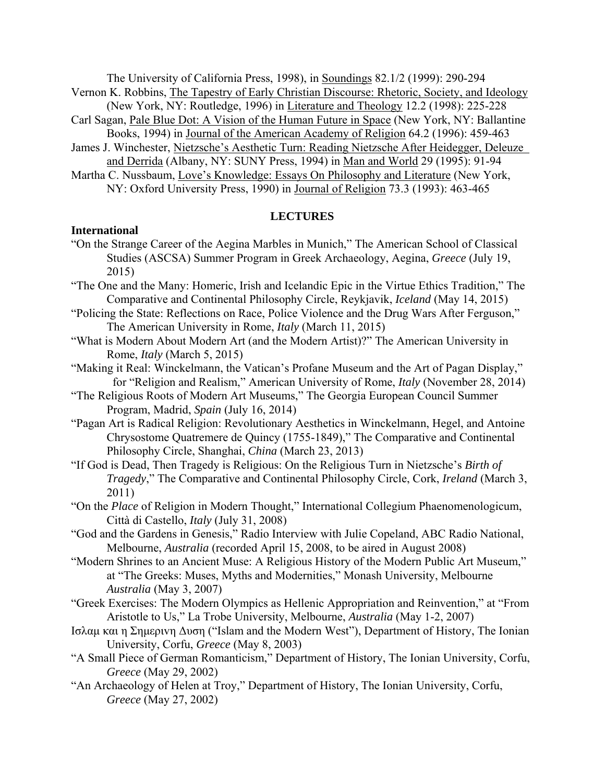The University of California Press, 1998), in Soundings 82.1/2 (1999): 290-294

Vernon K. Robbins, The Tapestry of Early Christian Discourse: Rhetoric, Society, and Ideology (New York, NY: Routledge, 1996) in Literature and Theology 12.2 (1998): 225-228

- Carl Sagan, Pale Blue Dot: A Vision of the Human Future in Space (New York, NY: Ballantine Books, 1994) in Journal of the American Academy of Religion 64.2 (1996): 459-463
- James J. Winchester, Nietzsche's Aesthetic Turn: Reading Nietzsche After Heidegger, Deleuze and Derrida (Albany, NY: SUNY Press, 1994) in Man and World 29 (1995): 91-94
- Martha C. Nussbaum, Love's Knowledge: Essays On Philosophy and Literature (New York, NY: Oxford University Press, 1990) in Journal of Religion 73.3 (1993): 463-465

### **LECTURES**

### **International**

- "On the Strange Career of the Aegina Marbles in Munich," The American School of Classical Studies (ASCSA) Summer Program in Greek Archaeology, Aegina, *Greece* (July 19, 2015)
- "The One and the Many: Homeric, Irish and Icelandic Epic in the Virtue Ethics Tradition," The Comparative and Continental Philosophy Circle, Reykjavik, *Iceland* (May 14, 2015)
- "Policing the State: Reflections on Race, Police Violence and the Drug Wars After Ferguson," The American University in Rome, *Italy* (March 11, 2015)
- "What is Modern About Modern Art (and the Modern Artist)?" The American University in Rome, *Italy* (March 5, 2015)
- "Making it Real: Winckelmann, the Vatican's Profane Museum and the Art of Pagan Display," for "Religion and Realism," American University of Rome, *Italy* (November 28, 2014)
- "The Religious Roots of Modern Art Museums," The Georgia European Council Summer Program, Madrid, *Spain* (July 16, 2014)
- "Pagan Art is Radical Religion: Revolutionary Aesthetics in Winckelmann, Hegel, and Antoine Chrysostome Quatremere de Quincy (1755-1849)," The Comparative and Continental Philosophy Circle, Shanghai, *China* (March 23, 2013)
- "If God is Dead, Then Tragedy is Religious: On the Religious Turn in Nietzsche's *Birth of Tragedy*," The Comparative and Continental Philosophy Circle, Cork, *Ireland* (March 3, 2011)
- "On the *Place* of Religion in Modern Thought," International Collegium Phaenomenologicum, Città di Castello, *Italy* (July 31, 2008)
- "God and the Gardens in Genesis," Radio Interview with Julie Copeland, ABC Radio National, Melbourne, *Australia* (recorded April 15, 2008, to be aired in August 2008)
- "Modern Shrines to an Ancient Muse: A Religious History of the Modern Public Art Museum," at "The Greeks: Muses, Myths and Modernities," Monash University, Melbourne *Australia* (May 3, 2007)
- "Greek Exercises: The Modern Olympics as Hellenic Appropriation and Reinvention," at "From Aristotle to Us," La Trobe University, Melbourne, *Australia* (May 1-2, 2007)
- Iσλαμ και η Σημεριvη Δυση ("Islam and the Modern West"), Department of History, The Ionian University, Corfu, *Greece* (May 8, 2003)
- "A Small Piece of German Romanticism," Department of History, The Ionian University, Corfu, *Greece* (May 29, 2002)
- "An Archaeology of Helen at Troy," Department of History, The Ionian University, Corfu, *Greece* (May 27, 2002)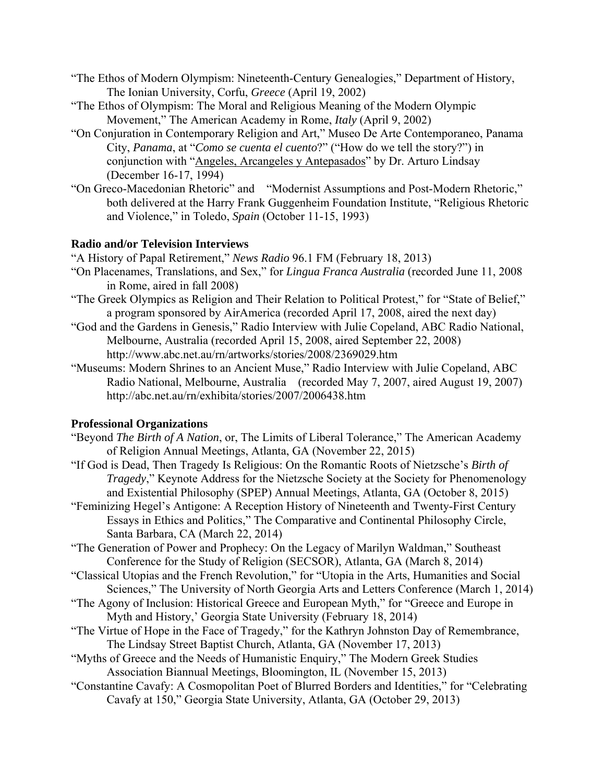- "The Ethos of Modern Olympism: Nineteenth-Century Genealogies," Department of History, The Ionian University, Corfu, *Greece* (April 19, 2002)
- "The Ethos of Olympism: The Moral and Religious Meaning of the Modern Olympic Movement," The American Academy in Rome, *Italy* (April 9, 2002)
- "On Conjuration in Contemporary Religion and Art," Museo De Arte Contemporaneo, Panama City, *Panama*, at "*Como se cuenta el cuento*?" ("How do we tell the story?") in conjunction with "Angeles, Arcangeles y Antepasados" by Dr. Arturo Lindsay (December 16-17, 1994)
- "On Greco-Macedonian Rhetoric" and "Modernist Assumptions and Post-Modern Rhetoric," both delivered at the Harry Frank Guggenheim Foundation Institute, "Religious Rhetoric and Violence," in Toledo, *Spain* (October 11-15, 1993)

### **Radio and/or Television Interviews**

"A History of Papal Retirement," *News Radio* 96.1 FM (February 18, 2013)

- "On Placenames, Translations, and Sex," for *Lingua Franca Australia* (recorded June 11, 2008 in Rome, aired in fall 2008)
- "The Greek Olympics as Religion and Their Relation to Political Protest," for "State of Belief," a program sponsored by AirAmerica (recorded April 17, 2008, aired the next day)
- "God and the Gardens in Genesis," Radio Interview with Julie Copeland, ABC Radio National, Melbourne, Australia (recorded April 15, 2008, aired September 22, 2008) http://www.abc.net.au/rn/artworks/stories/2008/2369029.htm
- "Museums: Modern Shrines to an Ancient Muse," Radio Interview with Julie Copeland, ABC Radio National, Melbourne, Australia (recorded May 7, 2007, aired August 19, 2007) http://abc.net.au/rn/exhibita/stories/2007/2006438.htm

# **Professional Organizations**

- "Beyond *The Birth of A Nation*, or, The Limits of Liberal Tolerance," The American Academy of Religion Annual Meetings, Atlanta, GA (November 22, 2015)
- "If God is Dead, Then Tragedy Is Religious: On the Romantic Roots of Nietzsche's *Birth of Tragedy*," Keynote Address for the Nietzsche Society at the Society for Phenomenology and Existential Philosophy (SPEP) Annual Meetings, Atlanta, GA (October 8, 2015)
- "Feminizing Hegel's Antigone: A Reception History of Nineteenth and Twenty-First Century Essays in Ethics and Politics," The Comparative and Continental Philosophy Circle, Santa Barbara, CA (March 22, 2014)
- "The Generation of Power and Prophecy: On the Legacy of Marilyn Waldman," Southeast Conference for the Study of Religion (SECSOR), Atlanta, GA (March 8, 2014)
- "Classical Utopias and the French Revolution," for "Utopia in the Arts, Humanities and Social Sciences," The University of North Georgia Arts and Letters Conference (March 1, 2014)
- "The Agony of Inclusion: Historical Greece and European Myth," for "Greece and Europe in Myth and History,' Georgia State University (February 18, 2014)
- "The Virtue of Hope in the Face of Tragedy," for the Kathryn Johnston Day of Remembrance, The Lindsay Street Baptist Church, Atlanta, GA (November 17, 2013)
- "Myths of Greece and the Needs of Humanistic Enquiry," The Modern Greek Studies Association Biannual Meetings, Bloomington, IL (November 15, 2013)
- "Constantine Cavafy: A Cosmopolitan Poet of Blurred Borders and Identities," for "Celebrating Cavafy at 150," Georgia State University, Atlanta, GA (October 29, 2013)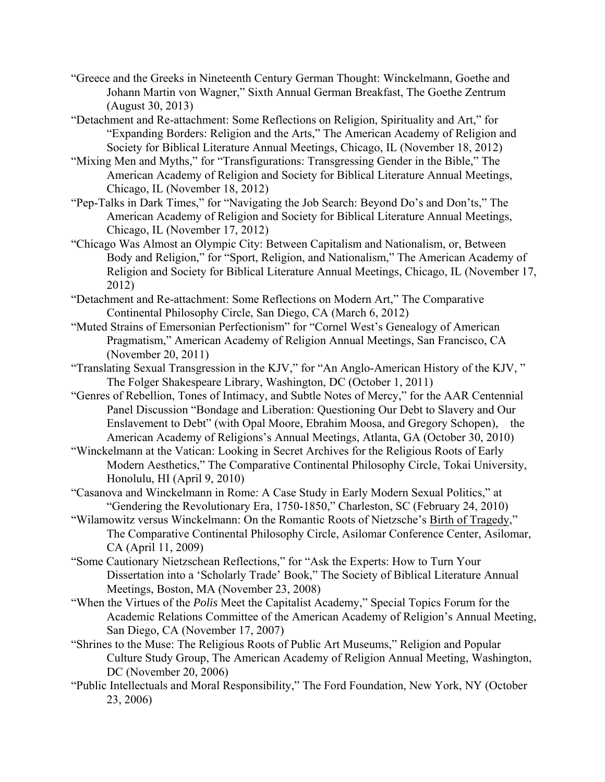- "Greece and the Greeks in Nineteenth Century German Thought: Winckelmann, Goethe and Johann Martin von Wagner," Sixth Annual German Breakfast, The Goethe Zentrum (August 30, 2013)
- "Detachment and Re-attachment: Some Reflections on Religion, Spirituality and Art," for "Expanding Borders: Religion and the Arts," The American Academy of Religion and Society for Biblical Literature Annual Meetings, Chicago, IL (November 18, 2012)
- "Mixing Men and Myths," for "Transfigurations: Transgressing Gender in the Bible," The American Academy of Religion and Society for Biblical Literature Annual Meetings, Chicago, IL (November 18, 2012)
- "Pep-Talks in Dark Times," for "Navigating the Job Search: Beyond Do's and Don'ts," The American Academy of Religion and Society for Biblical Literature Annual Meetings, Chicago, IL (November 17, 2012)
- "Chicago Was Almost an Olympic City: Between Capitalism and Nationalism, or, Between Body and Religion," for "Sport, Religion, and Nationalism," The American Academy of Religion and Society for Biblical Literature Annual Meetings, Chicago, IL (November 17, 2012)
- "Detachment and Re-attachment: Some Reflections on Modern Art," The Comparative Continental Philosophy Circle, San Diego, CA (March 6, 2012)
- "Muted Strains of Emersonian Perfectionism" for "Cornel West's Genealogy of American Pragmatism," American Academy of Religion Annual Meetings, San Francisco, CA (November 20, 2011)
- "Translating Sexual Transgression in the KJV," for "An Anglo-American History of the KJV, " The Folger Shakespeare Library, Washington, DC (October 1, 2011)
- "Genres of Rebellion, Tones of Intimacy, and Subtle Notes of Mercy," for the AAR Centennial Panel Discussion "Bondage and Liberation: Questioning Our Debt to Slavery and Our Enslavement to Debt" (with Opal Moore, Ebrahim Moosa, and Gregory Schopen), the American Academy of Religions's Annual Meetings, Atlanta, GA (October 30, 2010)
- "Winckelmann at the Vatican: Looking in Secret Archives for the Religious Roots of Early Modern Aesthetics," The Comparative Continental Philosophy Circle, Tokai University, Honolulu, HI (April 9, 2010)
- "Casanova and Winckelmann in Rome: A Case Study in Early Modern Sexual Politics," at "Gendering the Revolutionary Era, 1750-1850," Charleston, SC (February 24, 2010)
- "Wilamowitz versus Winckelmann: On the Romantic Roots of Nietzsche's Birth of Tragedy," The Comparative Continental Philosophy Circle, Asilomar Conference Center, Asilomar, CA (April 11, 2009)
- "Some Cautionary Nietzschean Reflections," for "Ask the Experts: How to Turn Your Dissertation into a 'Scholarly Trade' Book," The Society of Biblical Literature Annual Meetings, Boston, MA (November 23, 2008)
- "When the Virtues of the *Polis* Meet the Capitalist Academy," Special Topics Forum for the Academic Relations Committee of the American Academy of Religion's Annual Meeting, San Diego, CA (November 17, 2007)
- "Shrines to the Muse: The Religious Roots of Public Art Museums," Religion and Popular Culture Study Group, The American Academy of Religion Annual Meeting, Washington, DC (November 20, 2006)
- "Public Intellectuals and Moral Responsibility," The Ford Foundation, New York, NY (October 23, 2006)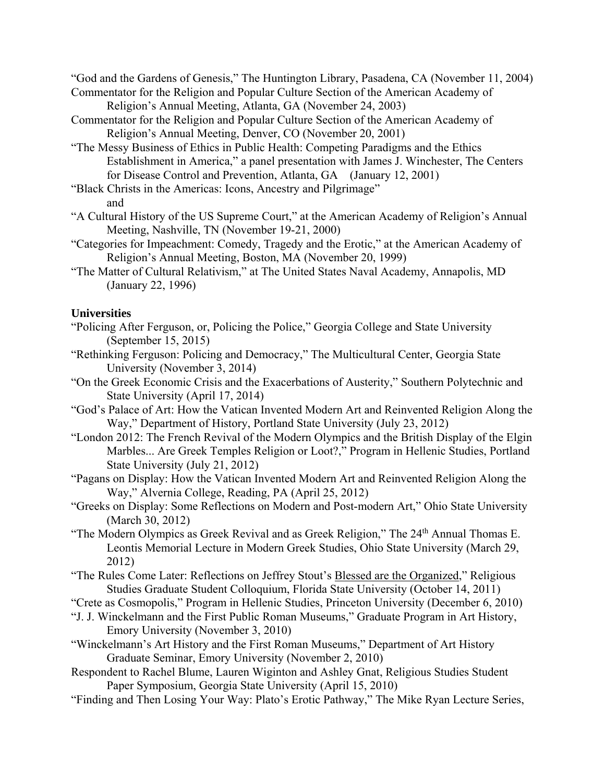"God and the Gardens of Genesis," The Huntington Library, Pasadena, CA (November 11, 2004) Commentator for the Religion and Popular Culture Section of the American Academy of

Religion's Annual Meeting, Atlanta, GA (November 24, 2003)

- Commentator for the Religion and Popular Culture Section of the American Academy of Religion's Annual Meeting, Denver, CO (November 20, 2001)
- "The Messy Business of Ethics in Public Health: Competing Paradigms and the Ethics Establishment in America," a panel presentation with James J. Winchester, The Centers for Disease Control and Prevention, Atlanta, GA (January 12, 2001)
- "Black Christs in the Americas: Icons, Ancestry and Pilgrimage" and
- "A Cultural History of the US Supreme Court," at the American Academy of Religion's Annual Meeting, Nashville, TN (November 19-21, 2000)
- "Categories for Impeachment: Comedy, Tragedy and the Erotic," at the American Academy of Religion's Annual Meeting, Boston, MA (November 20, 1999)
- "The Matter of Cultural Relativism," at The United States Naval Academy, Annapolis, MD (January 22, 1996)

# **Universities**

- "Policing After Ferguson, or, Policing the Police," Georgia College and State University (September 15, 2015)
- "Rethinking Ferguson: Policing and Democracy," The Multicultural Center, Georgia State University (November 3, 2014)
- "On the Greek Economic Crisis and the Exacerbations of Austerity," Southern Polytechnic and State University (April 17, 2014)
- "God's Palace of Art: How the Vatican Invented Modern Art and Reinvented Religion Along the Way," Department of History, Portland State University (July 23, 2012)
- "London 2012: The French Revival of the Modern Olympics and the British Display of the Elgin Marbles... Are Greek Temples Religion or Loot?," Program in Hellenic Studies, Portland State University (July 21, 2012)
- "Pagans on Display: How the Vatican Invented Modern Art and Reinvented Religion Along the Way," Alvernia College, Reading, PA (April 25, 2012)
- "Greeks on Display: Some Reflections on Modern and Post-modern Art," Ohio State University (March 30, 2012)
- "The Modern Olympics as Greek Revival and as Greek Religion," The 24<sup>th</sup> Annual Thomas E. Leontis Memorial Lecture in Modern Greek Studies, Ohio State University (March 29, 2012)
- "The Rules Come Later: Reflections on Jeffrey Stout's Blessed are the Organized," Religious Studies Graduate Student Colloquium, Florida State University (October 14, 2011)
- "Crete as Cosmopolis," Program in Hellenic Studies, Princeton University (December 6, 2010)
- "J. J. Winckelmann and the First Public Roman Museums," Graduate Program in Art History, Emory University (November 3, 2010)
- "Winckelmann's Art History and the First Roman Museums," Department of Art History Graduate Seminar, Emory University (November 2, 2010)
- Respondent to Rachel Blume, Lauren Wiginton and Ashley Gnat, Religious Studies Student Paper Symposium, Georgia State University (April 15, 2010)
- "Finding and Then Losing Your Way: Plato's Erotic Pathway," The Mike Ryan Lecture Series,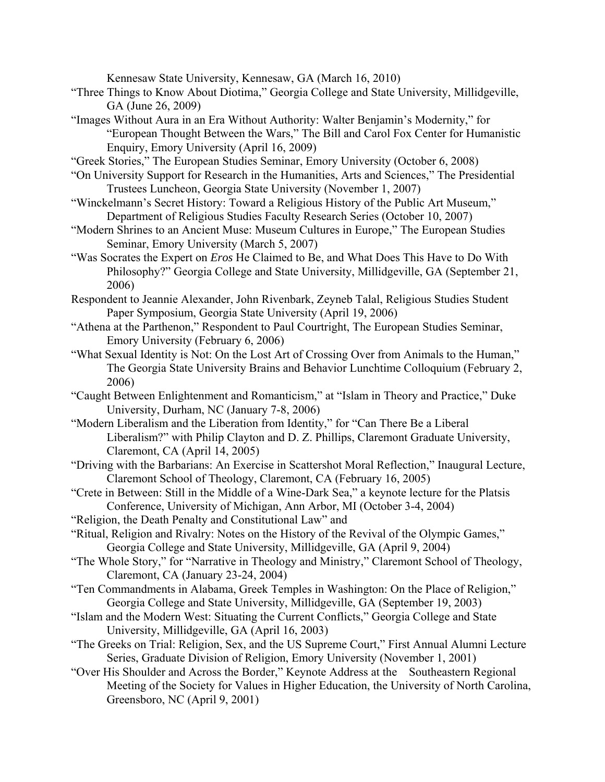Kennesaw State University, Kennesaw, GA (March 16, 2010)

- "Three Things to Know About Diotima," Georgia College and State University, Millidgeville, GA (June 26, 2009)
- "Images Without Aura in an Era Without Authority: Walter Benjamin's Modernity," for "European Thought Between the Wars," The Bill and Carol Fox Center for Humanistic Enquiry, Emory University (April 16, 2009)
- "Greek Stories," The European Studies Seminar, Emory University (October 6, 2008)
- "On University Support for Research in the Humanities, Arts and Sciences," The Presidential Trustees Luncheon, Georgia State University (November 1, 2007)
- "Winckelmann's Secret History: Toward a Religious History of the Public Art Museum," Department of Religious Studies Faculty Research Series (October 10, 2007)
- "Modern Shrines to an Ancient Muse: Museum Cultures in Europe," The European Studies Seminar, Emory University (March 5, 2007)
- "Was Socrates the Expert on *Eros* He Claimed to Be, and What Does This Have to Do With Philosophy?" Georgia College and State University, Millidgeville, GA (September 21, 2006)
- Respondent to Jeannie Alexander, John Rivenbark, Zeyneb Talal, Religious Studies Student Paper Symposium, Georgia State University (April 19, 2006)
- "Athena at the Parthenon," Respondent to Paul Courtright, The European Studies Seminar, Emory University (February 6, 2006)
- "What Sexual Identity is Not: On the Lost Art of Crossing Over from Animals to the Human," The Georgia State University Brains and Behavior Lunchtime Colloquium (February 2, 2006)
- "Caught Between Enlightenment and Romanticism," at "Islam in Theory and Practice," Duke University, Durham, NC (January 7-8, 2006)
- "Modern Liberalism and the Liberation from Identity," for "Can There Be a Liberal Liberalism?" with Philip Clayton and D. Z. Phillips, Claremont Graduate University, Claremont, CA (April 14, 2005)
- "Driving with the Barbarians: An Exercise in Scattershot Moral Reflection," Inaugural Lecture, Claremont School of Theology, Claremont, CA (February 16, 2005)
- "Crete in Between: Still in the Middle of a Wine-Dark Sea," a keynote lecture for the Platsis Conference, University of Michigan, Ann Arbor, MI (October 3-4, 2004)
- "Religion, the Death Penalty and Constitutional Law" and
- "Ritual, Religion and Rivalry: Notes on the History of the Revival of the Olympic Games," Georgia College and State University, Millidgeville, GA (April 9, 2004)
- "The Whole Story," for "Narrative in Theology and Ministry," Claremont School of Theology, Claremont, CA (January 23-24, 2004)
- "Ten Commandments in Alabama, Greek Temples in Washington: On the Place of Religion," Georgia College and State University, Millidgeville, GA (September 19, 2003)
- "Islam and the Modern West: Situating the Current Conflicts," Georgia College and State University, Millidgeville, GA (April 16, 2003)
- "The Greeks on Trial: Religion, Sex, and the US Supreme Court," First Annual Alumni Lecture Series, Graduate Division of Religion, Emory University (November 1, 2001)
- "Over His Shoulder and Across the Border," Keynote Address at the Southeastern Regional Meeting of the Society for Values in Higher Education, the University of North Carolina, Greensboro, NC (April 9, 2001)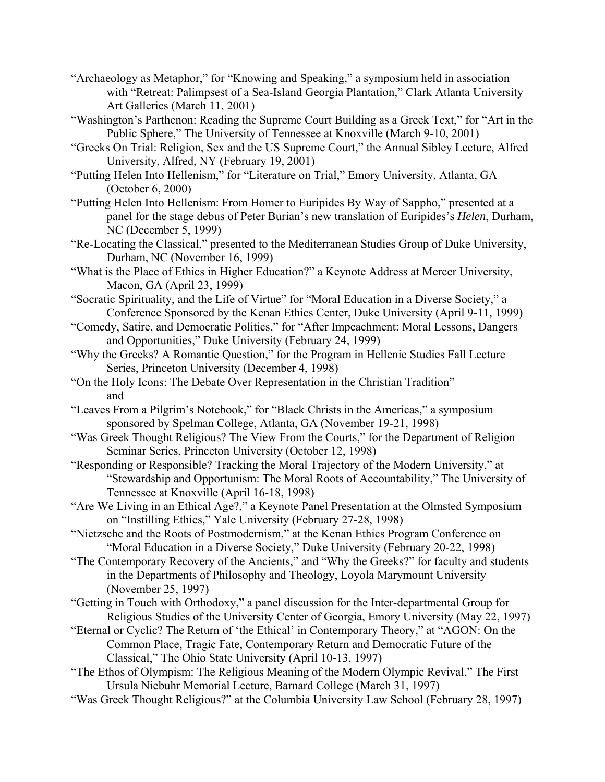- "Archaeology as Metaphor," for "Knowing and Speaking," a symposium held in association with "Retreat: Palimpsest of a Sea-Island Georgia Plantation," Clark Atlanta University Art Galleries (March 11, 2001)
- "Washington's Parthenon: Reading the Supreme Court Building as a Greek Text," for "Art in the Public Sphere," The University of Tennessee at Knoxville (March 9-10, 2001)
- "Greeks On Trial: Religion, Sex and the US Supreme Court," the Annual Sibley Lecture, Alfred University, Alfred, NY (February 19, 2001)
- "Putting Helen Into Hellenism," for "Literature on Trial," Emory University, Atlanta, GA (October 6, 2000)
- "Putting Helen Into Hellenism: From Homer to Euripides By Way of Sappho," presented at a panel for the stage debus of Peter Burian's new translation of Euripides's *Helen*, Durham, NC (December 5, 1999)
- "Re-Locating the Classical," presented to the Mediterranean Studies Group of Duke University, Durham, NC (November 16, 1999)
- "What is the Place of Ethics in Higher Education?" a Keynote Address at Mercer University, Macon, GA (April 23, 1999)
- "Socratic Spirituality, and the Life of Virtue" for "Moral Education in a Diverse Society," a Conference Sponsored by the Kenan Ethics Center, Duke University (April 9-11, 1999)
- "Comedy, Satire, and Democratic Politics," for "After Impeachment: Moral Lessons, Dangers and Opportunities," Duke University (February 24, 1999)
- "Why the Greeks? A Romantic Question," for the Program in Hellenic Studies Fall Lecture Series, Princeton University (December 4, 1998)
- "On the Holy Icons: The Debate Over Representation in the Christian Tradition" and
- "Leaves From a Pilgrim's Notebook," for "Black Christs in the Americas," a symposium sponsored by Spelman College, Atlanta, GA (November 19-21, 1998)
- "Was Greek Thought Religious? The View From the Courts," for the Department of Religion Seminar Series, Princeton University (October 12, 1998)
- "Responding or Responsible? Tracking the Moral Trajectory of the Modern University," at "Stewardship and Opportunism: The Moral Roots of Accountability," The University of Tennessee at Knoxville (April 16-18, 1998)
- "Are We Living in an Ethical Age?," a Keynote Panel Presentation at the Olmsted Symposium on "Instilling Ethics," Yale University (February 27-28, 1998)
- "Nietzsche and the Roots of Postmodernism," at the Kenan Ethics Program Conference on "Moral Education in a Diverse Society," Duke University (February 20-22, 1998)
- "The Contemporary Recovery of the Ancients," and "Why the Greeks?" for faculty and students in the Departments of Philosophy and Theology, Loyola Marymount University (November 25, 1997)
- "Getting in Touch with Orthodoxy," a panel discussion for the Inter-departmental Group for Religious Studies of the University Center of Georgia, Emory University (May 22, 1997)
- "Eternal or Cyclic? The Return of 'the Ethical' in Contemporary Theory," at "AGON: On the Common Place, Tragic Fate, Contemporary Return and Democratic Future of the Classical," The Ohio State University (April 10-13, 1997)
- "The Ethos of Olympism: The Religious Meaning of the Modern Olympic Revival," The First Ursula Niebuhr Memorial Lecture, Barnard College (March 31, 1997)
- "Was Greek Thought Religious?" at the Columbia University Law School (February 28, 1997)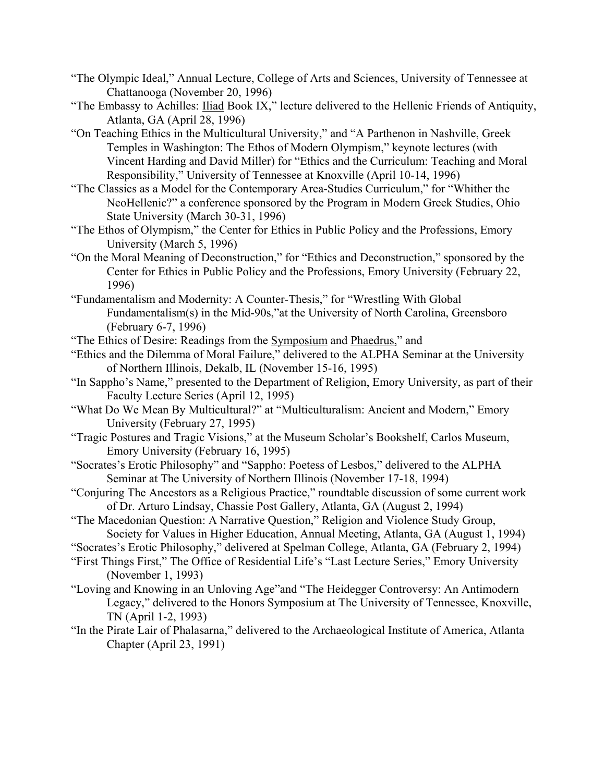- "The Olympic Ideal," Annual Lecture, College of Arts and Sciences, University of Tennessee at Chattanooga (November 20, 1996)
- "The Embassy to Achilles: Iliad Book IX," lecture delivered to the Hellenic Friends of Antiquity, Atlanta, GA (April 28, 1996)
- "On Teaching Ethics in the Multicultural University," and "A Parthenon in Nashville, Greek Temples in Washington: The Ethos of Modern Olympism," keynote lectures (with Vincent Harding and David Miller) for "Ethics and the Curriculum: Teaching and Moral Responsibility," University of Tennessee at Knoxville (April 10-14, 1996)
- "The Classics as a Model for the Contemporary Area-Studies Curriculum," for "Whither the NeoHellenic?" a conference sponsored by the Program in Modern Greek Studies, Ohio State University (March 30-31, 1996)
- "The Ethos of Olympism," the Center for Ethics in Public Policy and the Professions, Emory University (March 5, 1996)
- "On the Moral Meaning of Deconstruction," for "Ethics and Deconstruction," sponsored by the Center for Ethics in Public Policy and the Professions, Emory University (February 22, 1996)
- "Fundamentalism and Modernity: A Counter-Thesis," for "Wrestling With Global Fundamentalism(s) in the Mid-90s,"at the University of North Carolina, Greensboro (February 6-7, 1996)
- "The Ethics of Desire: Readings from the Symposium and Phaedrus," and
- "Ethics and the Dilemma of Moral Failure," delivered to the ALPHA Seminar at the University of Northern Illinois, Dekalb, IL (November 15-16, 1995)
- "In Sappho's Name," presented to the Department of Religion, Emory University, as part of their Faculty Lecture Series (April 12, 1995)
- "What Do We Mean By Multicultural?" at "Multiculturalism: Ancient and Modern," Emory University (February 27, 1995)
- "Tragic Postures and Tragic Visions," at the Museum Scholar's Bookshelf, Carlos Museum, Emory University (February 16, 1995)
- "Socrates's Erotic Philosophy" and "Sappho: Poetess of Lesbos," delivered to the ALPHA Seminar at The University of Northern Illinois (November 17-18, 1994)
- "Conjuring The Ancestors as a Religious Practice," roundtable discussion of some current work of Dr. Arturo Lindsay, Chassie Post Gallery, Atlanta, GA (August 2, 1994)
- "The Macedonian Question: A Narrative Question," Religion and Violence Study Group, Society for Values in Higher Education, Annual Meeting, Atlanta, GA (August 1, 1994)

"Socrates's Erotic Philosophy," delivered at Spelman College, Atlanta, GA (February 2, 1994)

- "First Things First," The Office of Residential Life's "Last Lecture Series," Emory University (November 1, 1993)
- "Loving and Knowing in an Unloving Age"and "The Heidegger Controversy: An Antimodern Legacy," delivered to the Honors Symposium at The University of Tennessee, Knoxville, TN (April 1-2, 1993)
- "In the Pirate Lair of Phalasarna," delivered to the Archaeological Institute of America, Atlanta Chapter (April 23, 1991)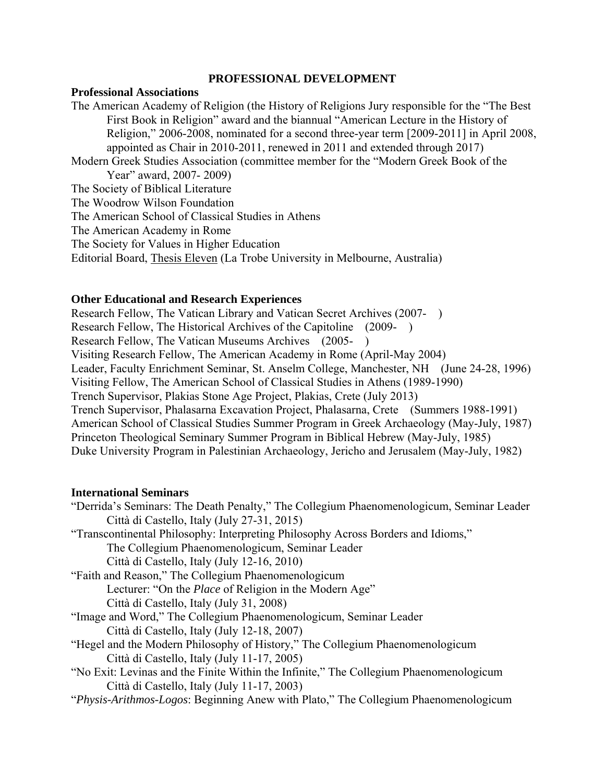#### **PROFESSIONAL DEVELOPMENT**

### **Professional Associations**

The American Academy of Religion (the History of Religions Jury responsible for the "The Best First Book in Religion" award and the biannual "American Lecture in the History of Religion," 2006-2008, nominated for a second three-year term [2009-2011] in April 2008, appointed as Chair in 2010-2011, renewed in 2011 and extended through 2017) Modern Greek Studies Association (committee member for the "Modern Greek Book of the Year" award, 2007- 2009) The Society of Biblical Literature The Woodrow Wilson Foundation The American School of Classical Studies in Athens The American Academy in Rome The Society for Values in Higher Education Editorial Board, Thesis Eleven (La Trobe University in Melbourne, Australia)

#### **Other Educational and Research Experiences**

Research Fellow, The Vatican Library and Vatican Secret Archives (2007- ) Research Fellow, The Historical Archives of the Capitoline (2009- ) Research Fellow, The Vatican Museums Archives (2005- ) Visiting Research Fellow, The American Academy in Rome (April-May 2004) Leader, Faculty Enrichment Seminar, St. Anselm College, Manchester, NH (June 24-28, 1996) Visiting Fellow, The American School of Classical Studies in Athens (1989-1990) Trench Supervisor, Plakias Stone Age Project, Plakias, Crete (July 2013) Trench Supervisor, Phalasarna Excavation Project, Phalasarna, Crete (Summers 1988-1991) American School of Classical Studies Summer Program in Greek Archaeology (May-July, 1987) Princeton Theological Seminary Summer Program in Biblical Hebrew (May-July, 1985) Duke University Program in Palestinian Archaeology, Jericho and Jerusalem (May-July, 1982)

#### **International Seminars**

"Derrida's Seminars: The Death Penalty," The Collegium Phaenomenologicum, Seminar Leader Città di Castello, Italy (July 27-31, 2015) "Transcontinental Philosophy: Interpreting Philosophy Across Borders and Idioms," The Collegium Phaenomenologicum, Seminar Leader Città di Castello, Italy (July 12-16, 2010) "Faith and Reason," The Collegium Phaenomenologicum Lecturer: "On the *Place* of Religion in the Modern Age" Città di Castello, Italy (July 31, 2008) "Image and Word," The Collegium Phaenomenologicum, Seminar Leader Città di Castello, Italy (July 12-18, 2007) "Hegel and the Modern Philosophy of History," The Collegium Phaenomenologicum Città di Castello, Italy (July 11-17, 2005) "No Exit: Levinas and the Finite Within the Infinite," The Collegium Phaenomenologicum Città di Castello, Italy (July 11-17, 2003) "*Physis-Arithmos-Logos*: Beginning Anew with Plato," The Collegium Phaenomenologicum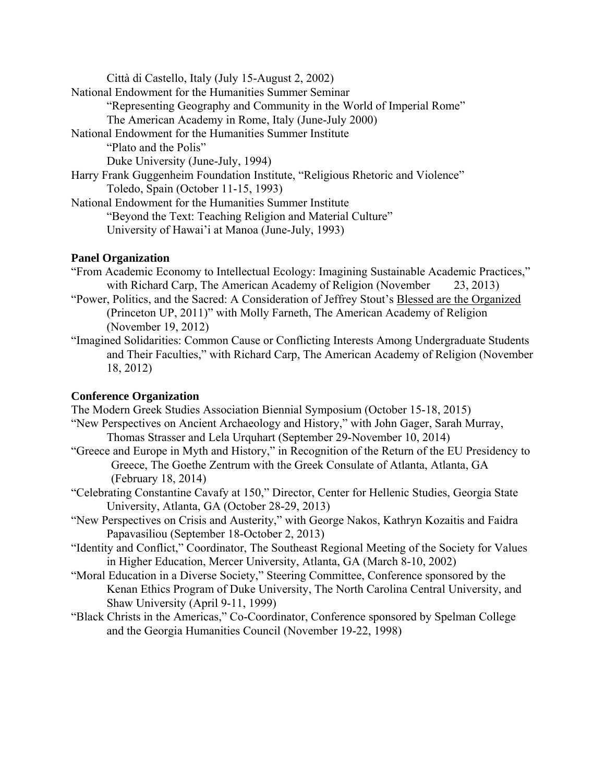Città di Castello, Italy (July 15-August 2, 2002) National Endowment for the Humanities Summer Seminar "Representing Geography and Community in the World of Imperial Rome" The American Academy in Rome, Italy (June-July 2000) National Endowment for the Humanities Summer Institute "Plato and the Polis" Duke University (June-July, 1994) Harry Frank Guggenheim Foundation Institute, "Religious Rhetoric and Violence" Toledo, Spain (October 11-15, 1993) National Endowment for the Humanities Summer Institute "Beyond the Text: Teaching Religion and Material Culture" University of Hawai'i at Manoa (June-July, 1993)

# **Panel Organization**

- "From Academic Economy to Intellectual Ecology: Imagining Sustainable Academic Practices," with Richard Carp, The American Academy of Religion (November 23, 2013)
- "Power, Politics, and the Sacred: A Consideration of Jeffrey Stout's Blessed are the Organized (Princeton UP, 2011)" with Molly Farneth, The American Academy of Religion (November 19, 2012)
- "Imagined Solidarities: Common Cause or Conflicting Interests Among Undergraduate Students and Their Faculties," with Richard Carp, The American Academy of Religion (November 18, 2012)

# **Conference Organization**

The Modern Greek Studies Association Biennial Symposium (October 15-18, 2015)

- "New Perspectives on Ancient Archaeology and History," with John Gager, Sarah Murray, Thomas Strasser and Lela Urquhart (September 29-November 10, 2014)
- "Greece and Europe in Myth and History," in Recognition of the Return of the EU Presidency to Greece, The Goethe Zentrum with the Greek Consulate of Atlanta, Atlanta, GA (February 18, 2014)
- "Celebrating Constantine Cavafy at 150," Director, Center for Hellenic Studies, Georgia State University, Atlanta, GA (October 28-29, 2013)
- "New Perspectives on Crisis and Austerity," with George Nakos, Kathryn Kozaitis and Faidra Papavasiliou (September 18-October 2, 2013)
- "Identity and Conflict," Coordinator, The Southeast Regional Meeting of the Society for Values in Higher Education, Mercer University, Atlanta, GA (March 8-10, 2002)
- "Moral Education in a Diverse Society," Steering Committee, Conference sponsored by the Kenan Ethics Program of Duke University, The North Carolina Central University, and Shaw University (April 9-11, 1999)
- "Black Christs in the Americas," Co-Coordinator, Conference sponsored by Spelman College and the Georgia Humanities Council (November 19-22, 1998)